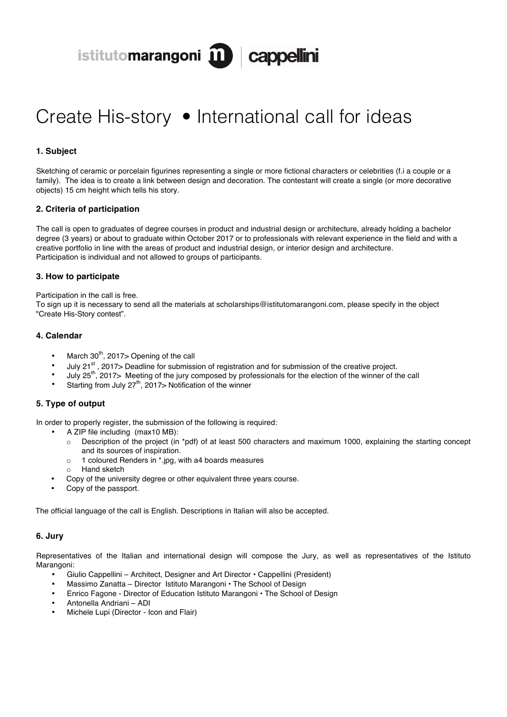istitutomarangoni m cappellini

# Create His-story • International call for ideas

## **1. Subject**

Sketching of ceramic or porcelain figurines representing a single or more fictional characters or celebrities (f.i a couple or a family). The idea is to create a link between design and decoration. The contestant will create a single (or more decorative objects) 15 cm height which tells his story.

#### **2. Criteria of participation**

The call is open to graduates of degree courses in product and industrial design or architecture, already holding a bachelor degree (3 years) or about to graduate within October 2017 or to professionals with relevant experience in the field and with a creative portfolio in line with the areas of product and industrial design, or interior design and architecture. Participation is individual and not allowed to groups of participants.

#### **3. How to participate**

Participation in the call is free.

To sign up it is necessary to send all the materials at scholarships@istitutomarangoni.com, please specify in the object "Create His-Story contest".

### **4. Calendar**

- March  $30<sup>th</sup>$ , 2017> Opening of the call
- July 21 $^{st}$ , 2017> Deadline for submission of registration and for submission of the creative project.
- July 25th, 2017> Meeting of the jury composed by professionals for the election of the winner of the call
- Starting from July  $27<sup>th</sup>$ , 2017> Notification of the winner

# **5. Type of output**

In order to properly register, the submission of the following is required:

- A ZIP file including (max10 MB):
	- o Description of the project (in \*pdf) of at least 500 characters and maximum 1000, explaining the starting concept and its sources of inspiration.
	- o 1 coloured Renders in \*.jpg, with a4 boards measures
	- o Hand sketch
- Copy of the university degree or other equivalent three years course.
- Copy of the passport.

The official language of the call is English. Descriptions in Italian will also be accepted.

#### **6. Jury**

Representatives of the Italian and international design will compose the Jury, as well as representatives of the Istituto Marangoni:

- Giulio Cappellini Architect, Designer and Art Director Cappellini (President)
- Massimo Zanatta Director Istituto Marangoni The School of Design
- Enrico Fagone Director of Education Istituto Marangoni The School of Design
- Antonella Andriani ADI
- Michele Lupi (Director Icon and Flair)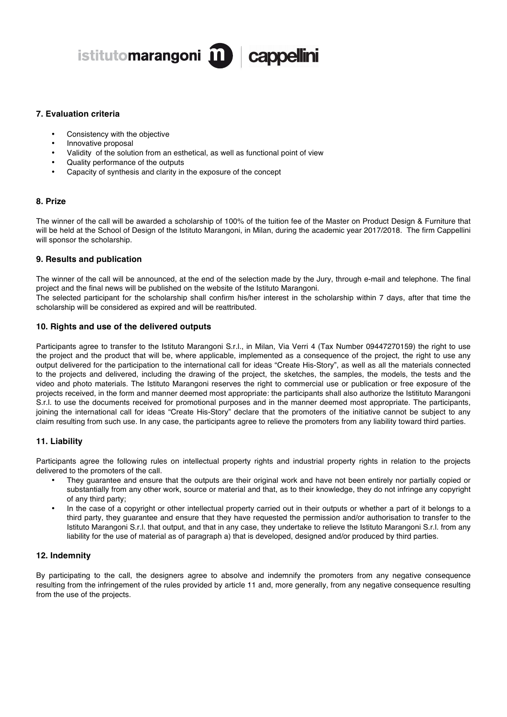

#### **7. Evaluation criteria**

- Consistency with the objective
- Innovative proposal
- Validity of the solution from an esthetical, as well as functional point of view
- Quality performance of the outputs
- Capacity of synthesis and clarity in the exposure of the concept

### **8. Prize**

The winner of the call will be awarded a scholarship of 100% of the tuition fee of the Master on Product Design & Furniture that will be held at the School of Design of the Istituto Marangoni, in Milan, during the academic year 2017/2018. The firm Cappellini will sponsor the scholarship.

#### **9. Results and publication**

The winner of the call will be announced, at the end of the selection made by the Jury, through e-mail and telephone. The final project and the final news will be published on the website of the Istituto Marangoni.

The selected participant for the scholarship shall confirm his/her interest in the scholarship within 7 days, after that time the scholarship will be considered as expired and will be reattributed.

#### **10. Rights and use of the delivered outputs**

Participants agree to transfer to the Istituto Marangoni S.r.l., in Milan, Via Verri 4 (Tax Number 09447270159) the right to use the project and the product that will be, where applicable, implemented as a consequence of the project, the right to use any output delivered for the participation to the international call for ideas "Create His-Story", as well as all the materials connected to the projects and delivered, including the drawing of the project, the sketches, the samples, the models, the tests and the video and photo materials. The Istituto Marangoni reserves the right to commercial use or publication or free exposure of the projects received, in the form and manner deemed most appropriate: the participants shall also authorize the Istitituto Marangoni S.r.l. to use the documents received for promotional purposes and in the manner deemed most appropriate. The participants, joining the international call for ideas "Create His-Story" declare that the promoters of the initiative cannot be subject to any claim resulting from such use. In any case, the participants agree to relieve the promoters from any liability toward third parties.

#### **11. Liability**

Participants agree the following rules on intellectual property rights and industrial property rights in relation to the projects delivered to the promoters of the call.

- They guarantee and ensure that the outputs are their original work and have not been entirely nor partially copied or substantially from any other work, source or material and that, as to their knowledge, they do not infringe any copyright of any third party;
- In the case of a copyright or other intellectual property carried out in their outputs or whether a part of it belongs to a third party, they guarantee and ensure that they have requested the permission and/or authorisation to transfer to the Istituto Marangoni S.r.l. that output, and that in any case, they undertake to relieve the Istituto Marangoni S.r.l. from any liability for the use of material as of paragraph a) that is developed, designed and/or produced by third parties.

#### **12. Indemnity**

By participating to the call, the designers agree to absolve and indemnify the promoters from any negative consequence resulting from the infringement of the rules provided by article 11 and, more generally, from any negative consequence resulting from the use of the projects.